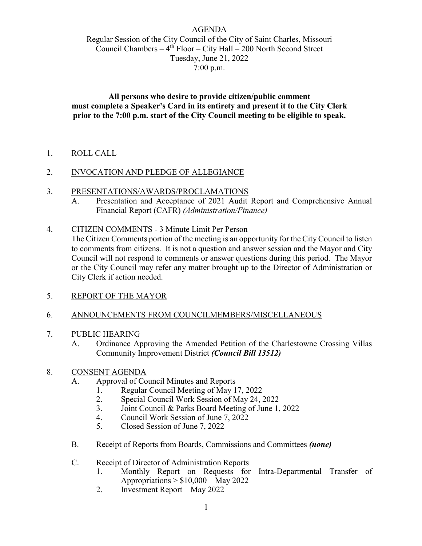## AGENDA Regular Session of the City Council of the City of Saint Charles, Missouri Council Chambers –  $4<sup>th</sup>$  Floor – City Hall – 200 North Second Street Tuesday, June 21, 2022 7:00 p.m.

**All persons who desire to provide citizen/public comment must complete a Speaker's Card in its entirety and present it to the City Clerk prior to the 7:00 p.m. start of the City Council meeting to be eligible to speak.** 

1. ROLL CALL

## 2. INVOCATION AND PLEDGE OF ALLEGIANCE

- 3. PRESENTATIONS/AWARDS/PROCLAMATIONS
	- A. Presentation and Acceptance of 2021 Audit Report and Comprehensive Annual Financial Report (CAFR) *(Administration/Finance)*
- 4. CITIZEN COMMENTS 3 Minute Limit Per Person

The Citizen Comments portion of the meeting is an opportunity for the City Council to listen to comments from citizens. It is not a question and answer session and the Mayor and City Council will not respond to comments or answer questions during this period. The Mayor or the City Council may refer any matter brought up to the Director of Administration or City Clerk if action needed.

- 5. REPORT OF THE MAYOR
- 6. ANNOUNCEMENTS FROM COUNCILMEMBERS/MISCELLANEOUS
- 7. PUBLIC HEARING
	- A. Ordinance Approving the Amended Petition of the Charlestowne Crossing Villas Community Improvement District *(Council Bill 13512)*
- 8. CONSENT AGENDA
	- A. Approval of Council Minutes and Reports
		- 1. Regular Council Meeting of May 17, 2022<br>2. Special Council Work Session of May 24.
		- 2. Special Council Work Session of May 24, 2022
		- 3. Joint Council & Parks Board Meeting of June 1, 2022
		- 4. Council Work Session of June 7, 2022
		- 5. Closed Session of June 7, 2022
	- B. Receipt of Reports from Boards, Commissions and Committees *(none)*
	- C. Receipt of Director of Administration Reports
		- 1. Monthly Report on Requests for Intra-Departmental Transfer of Appropriations  $> $10,000 -$  May 2022
		- 2. Investment Report May 2022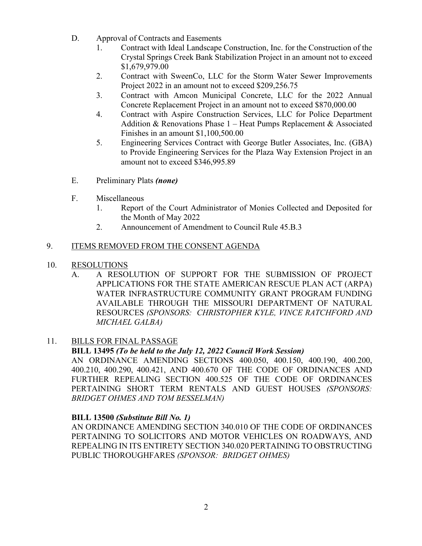- D. Approval of Contracts and Easements
	- 1. Contract with Ideal Landscape Construction, Inc. for the Construction of the Crystal Springs Creek Bank Stabilization Project in an amount not to exceed \$1,679,979.00
	- 2. Contract with SweenCo, LLC for the Storm Water Sewer Improvements Project 2022 in an amount not to exceed \$209,256.75
	- 3. Contract with Amcon Municipal Concrete, LLC for the 2022 Annual Concrete Replacement Project in an amount not to exceed \$870,000.00
	- 4. Contract with Aspire Construction Services, LLC for Police Department Addition & Renovations Phase 1 – Heat Pumps Replacement & Associated Finishes in an amount \$1,100,500.00
	- 5. Engineering Services Contract with George Butler Associates, Inc. (GBA) to Provide Engineering Services for the Plaza Way Extension Project in an amount not to exceed \$346,995.89
- E. Preliminary Plats *(none)*
- F. Miscellaneous
	- 1. Report of the Court Administrator of Monies Collected and Deposited for the Month of May 2022
	- 2. Announcement of Amendment to Council Rule 45.B.3

# 9. ITEMS REMOVED FROM THE CONSENT AGENDA

- 10. RESOLUTIONS
	- A. A RESOLUTION OF SUPPORT FOR THE SUBMISSION OF PROJECT APPLICATIONS FOR THE STATE AMERICAN RESCUE PLAN ACT (ARPA) WATER INFRASTRUCTURE COMMUNITY GRANT PROGRAM FUNDING AVAILABLE THROUGH THE MISSOURI DEPARTMENT OF NATURAL RESOURCES *(SPONSORS: CHRISTOPHER KYLE, VINCE RATCHFORD AND MICHAEL GALBA)*

# 11. BILLS FOR FINAL PASSAGE

# **BILL 13495** *(To be held to the July 12, 2022 Council Work Session)*

AN ORDINANCE AMENDING SECTIONS 400.050, 400.150, 400.190, 400.200, 400.210, 400.290, 400.421, AND 400.670 OF THE CODE OF ORDINANCES AND FURTHER REPEALING SECTION 400.525 OF THE CODE OF ORDINANCES PERTAINING SHORT TERM RENTALS AND GUEST HOUSES *(SPONSORS: BRIDGET OHMES AND TOM BESSELMAN)* 

## **BILL 13500** *(Substitute Bill No. 1)*

AN ORDINANCE AMENDING SECTION 340.010 OF THE CODE OF ORDINANCES PERTAINING TO SOLICITORS AND MOTOR VEHICLES ON ROADWAYS, AND REPEALING IN ITS ENTIRETY SECTION 340.020 PERTAINING TO OBSTRUCTING PUBLIC THOROUGHFARES *(SPONSOR: BRIDGET OHMES)*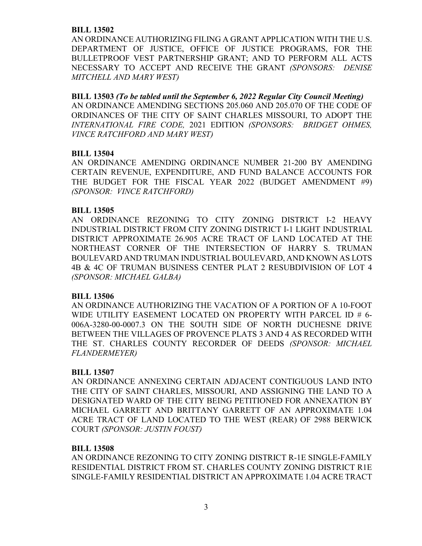#### **BILL 13502**

AN ORDINANCE AUTHORIZING FILING A GRANT APPLICATION WITH THE U.S. DEPARTMENT OF JUSTICE, OFFICE OF JUSTICE PROGRAMS, FOR THE BULLETPROOF VEST PARTNERSHIP GRANT; AND TO PERFORM ALL ACTS NECESSARY TO ACCEPT AND RECEIVE THE GRANT *(SPONSORS: DENISE MITCHELL AND MARY WEST)*

**BILL 13503** *(To be tabled until the September 6, 2022 Regular City Council Meeting)*  AN ORDINANCE AMENDING SECTIONS 205.060 AND 205.070 OF THE CODE OF ORDINANCES OF THE CITY OF SAINT CHARLES MISSOURI, TO ADOPT THE *INTERNATIONAL FIRE CODE,* 2021 EDITION *(SPONSORS: BRIDGET OHMES, VINCE RATCHFORD AND MARY WEST)*

#### **BILL 13504**

AN ORDINANCE AMENDING ORDINANCE NUMBER 21-200 BY AMENDING CERTAIN REVENUE, EXPENDITURE, AND FUND BALANCE ACCOUNTS FOR THE BUDGET FOR THE FISCAL YEAR 2022 (BUDGET AMENDMENT #9) *(SPONSOR: VINCE RATCHFORD)*

#### **BILL 13505**

AN ORDINANCE REZONING TO CITY ZONING DISTRICT I-2 HEAVY INDUSTRIAL DISTRICT FROM CITY ZONING DISTRICT I-1 LIGHT INDUSTRIAL DISTRICT APPROXIMATE 26.905 ACRE TRACT OF LAND LOCATED AT THE NORTHEAST CORNER OF THE INTERSECTION OF HARRY S. TRUMAN BOULEVARD AND TRUMAN INDUSTRIAL BOULEVARD, AND KNOWN AS LOTS 4B & 4C OF TRUMAN BUSINESS CENTER PLAT 2 RESUBDIVISION OF LOT 4 *(SPONSOR: MICHAEL GALBA)*

#### **BILL 13506**

AN ORDINANCE AUTHORIZING THE VACATION OF A PORTION OF A 10-FOOT WIDE UTILITY EASEMENT LOCATED ON PROPERTY WITH PARCEL ID # 6-006A-3280-00-0007.3 ON THE SOUTH SIDE OF NORTH DUCHESNE DRIVE BETWEEN THE VILLAGES OF PROVENCE PLATS 3 AND 4 AS RECORDED WITH THE ST. CHARLES COUNTY RECORDER OF DEEDS *(SPONSOR: MICHAEL FLANDERMEYER)*

#### **BILL 13507**

AN ORDINANCE ANNEXING CERTAIN ADJACENT CONTIGUOUS LAND INTO THE CITY OF SAINT CHARLES, MISSOURI, AND ASSIGNING THE LAND TO A DESIGNATED WARD OF THE CITY BEING PETITIONED FOR ANNEXATION BY MICHAEL GARRETT AND BRITTANY GARRETT OF AN APPROXIMATE 1.04 ACRE TRACT OF LAND LOCATED TO THE WEST (REAR) OF 2988 BERWICK COURT *(SPONSOR: JUSTIN FOUST)*

#### **BILL 13508**

AN ORDINANCE REZONING TO CITY ZONING DISTRICT R-1E SINGLE-FAMILY RESIDENTIAL DISTRICT FROM ST. CHARLES COUNTY ZONING DISTRICT R1E SINGLE-FAMILY RESIDENTIAL DISTRICT AN APPROXIMATE 1.04 ACRE TRACT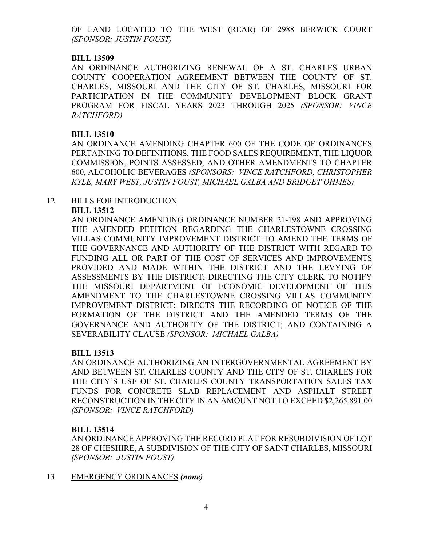OF LAND LOCATED TO THE WEST (REAR) OF 2988 BERWICK COURT *(SPONSOR: JUSTIN FOUST)*

## **BILL 13509**

AN ORDINANCE AUTHORIZING RENEWAL OF A ST. CHARLES URBAN COUNTY COOPERATION AGREEMENT BETWEEN THE COUNTY OF ST. CHARLES, MISSOURI AND THE CITY OF ST. CHARLES, MISSOURI FOR PARTICIPATION IN THE COMMUNITY DEVELOPMENT BLOCK GRANT PROGRAM FOR FISCAL YEARS 2023 THROUGH 2025 *(SPONSOR: VINCE RATCHFORD)*

## **BILL 13510**

AN ORDINANCE AMENDING CHAPTER 600 OF THE CODE OF ORDINANCES PERTAINING TO DEFINITIONS, THE FOOD SALES REQUIREMENT, THE LIQUOR COMMISSION, POINTS ASSESSED, AND OTHER AMENDMENTS TO CHAPTER 600, ALCOHOLIC BEVERAGES *(SPONSORS: VINCE RATCHFORD, CHRISTOPHER KYLE, MARY WEST, JUSTIN FOUST, MICHAEL GALBA AND BRIDGET OHMES)*

#### 12. BILLS FOR INTRODUCTION **BILL 13512**

AN ORDINANCE AMENDING ORDINANCE NUMBER 21-198 AND APPROVING THE AMENDED PETITION REGARDING THE CHARLESTOWNE CROSSING VILLAS COMMUNITY IMPROVEMENT DISTRICT TO AMEND THE TERMS OF THE GOVERNANCE AND AUTHORITY OF THE DISTRICT WITH REGARD TO FUNDING ALL OR PART OF THE COST OF SERVICES AND IMPROVEMENTS PROVIDED AND MADE WITHIN THE DISTRICT AND THE LEVYING OF ASSESSMENTS BY THE DISTRICT; DIRECTING THE CITY CLERK TO NOTIFY THE MISSOURI DEPARTMENT OF ECONOMIC DEVELOPMENT OF THIS AMENDMENT TO THE CHARLESTOWNE CROSSING VILLAS COMMUNITY IMPROVEMENT DISTRICT; DIRECTS THE RECORDING OF NOTICE OF THE FORMATION OF THE DISTRICT AND THE AMENDED TERMS OF THE GOVERNANCE AND AUTHORITY OF THE DISTRICT; AND CONTAINING A SEVERABILITY CLAUSE *(SPONSOR: MICHAEL GALBA)*

## **BILL 13513**

AN ORDINANCE AUTHORIZING AN INTERGOVERNMENTAL AGREEMENT BY AND BETWEEN ST. CHARLES COUNTY AND THE CITY OF ST. CHARLES FOR THE CITY'S USE OF ST. CHARLES COUNTY TRANSPORTATION SALES TAX FUNDS FOR CONCRETE SLAB REPLACEMENT AND ASPHALT STREET RECONSTRUCTION IN THE CITY IN AN AMOUNT NOT TO EXCEED \$2,265,891.00 *(SPONSOR: VINCE RATCHFORD)*

## **BILL 13514**

AN ORDINANCE APPROVING THE RECORD PLAT FOR RESUBDIVISION OF LOT 28 OF CHESHIRE, A SUBDIVISION OF THE CITY OF SAINT CHARLES, MISSOURI *(SPONSOR: JUSTIN FOUST)*

13. EMERGENCY ORDINANCES *(none)*